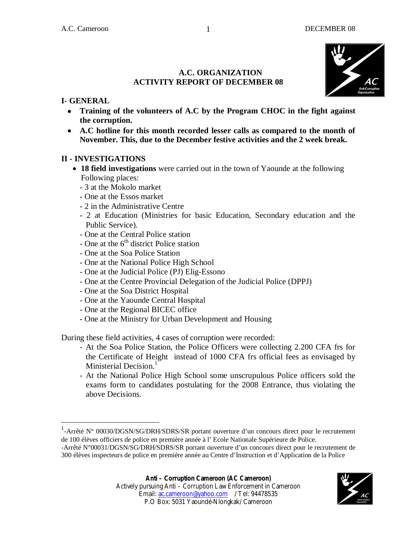

#### **A.C. ORGANIZATION ACTIVITY REPORT OF DECEMBER 08**

### **I- GENERAL**

 $\overline{\phantom{a}}$ 

- **Training of the volunteers of A.C by the Program CHOC in the fight against the corruption.**
- **A.C hotline for this month recorded lesser calls as compared to the month of November. This, due to the December festive activities and the 2 week break.**

#### **II - INVESTIGATIONS**

- **18 field investigations** were carried out in the town of Yaounde at the following Following places:
	- 3 at the Mokolo market
	- One at the Essos market
	- 2 in the Administrative Centre
	- 2 at Education (Ministries for basic Education, Secondary education and the Public Service).
	- One at the Central Police station
	- One at the  $6<sup>th</sup>$  district Police station
	- One at the Soa Police Station
	- One at the National Police High School
	- One at the Judicial Police (PJ) Elig-Essono
	- One at the Centre Provincial Delegation of the Judicial Police (DPPJ)
	- One at the Soa District Hospital
	- One at the Yaounde Central Hospital
	- One at the Regional BICEC office
	- One at the Ministry for Urban Development and Housing

During these field activities, 4 cases of corruption were recorded:

- At the Soa Police Station, the Police Officers were collecting 2.200 CFA frs for the Certificate of Height instead of 1000 CFA frs official fees as envisaged by Ministerial Decision. $<sup>1</sup>$ </sup>
- At the National Police High School some unscrupulous Police officers sold the exams form to candidates postulating for the 2008 Entrance, thus violating the above Decisions.

Email: ac.cameroon@yahoo.com / Tel: 94478535 P.O Box: 5031 Yaoundé-Nlongkak/ Cameroon

<sup>&</sup>lt;sup>1</sup>-Arrêté N° 00030/DGSN/SG/DRH/SDRS/SR portant ouverture d'un concours direct pour le recrutement de 100 élèves officiers de police en première année à l' Ecole Nationale Supérieure de Police.

<sup>-</sup>Arrêté N°00031/DGSN/SG/DRH/SDRS/SR portant ouverture d'un concours direct pour le recrutement de 300 élèves inspecteurs de police en première année au Centre d'Instruction et d'Application de la Police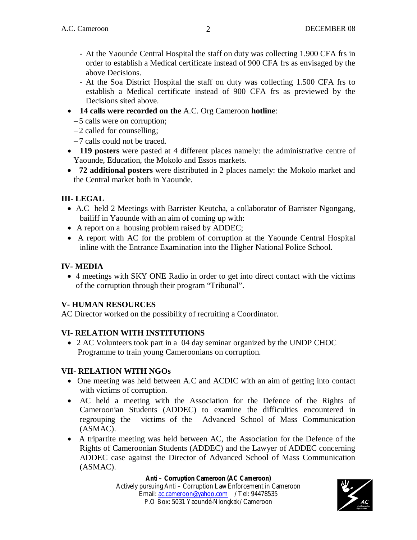- At the Yaounde Central Hospital the staff on duty was collecting 1.900 CFA frs in order to establish a Medical certificate instead of 900 CFA frs as envisaged by the above Decisions.
- At the Soa District Hospital the staff on duty was collecting 1.500 CFA frs to establish a Medical certificate instead of 900 CFA frs as previewed by the Decisions sited above.
- **14 calls were recorded on the** A.C. Org Cameroon **hotline**:
	- 5 calls were on corruption;
	- 2 called for counselling;
	- 7 calls could not be traced.
- **119 posters** were pasted at 4 different places namely: the administrative centre of Yaounde, Education, the Mokolo and Essos markets.
- **72 additional posters** were distributed in 2 places namely: the Mokolo market and the Central market both in Yaounde.

# **III- LEGAL**

- A.C held 2 Meetings with Barrister Keutcha, a collaborator of Barrister Ngongang, bailiff in Yaounde with an aim of coming up with:
- A report on a housing problem raised by ADDEC;
- A report with AC for the problem of corruption at the Yaounde Central Hospital inline with the Entrance Examination into the Higher National Police School.

# **IV- MEDIA**

 4 meetings with SKY ONE Radio in order to get into direct contact with the victims of the corruption through their program "Tribunal".

# **V- HUMAN RESOURCES**

AC Director worked on the possibility of recruiting a Coordinator.

# **VI- RELATION WITH INSTITUTIONS**

 2 AC Volunteers took part in a 04 day seminar organized by the UNDP CHOC Programme to train young Cameroonians on corruption.

# **VII- RELATION WITH NGOs**

- One meeting was held between A.C and ACDIC with an aim of getting into contact with victims of corruption.
- AC held a meeting with the Association for the Defence of the Rights of Cameroonian Students (ADDEC) to examine the difficulties encountered in regrouping the victims of the Advanced School of Mass Communication (ASMAC).
- A tripartite meeting was held between AC, the Association for the Defence of the Rights of Cameroonian Students (ADDEC) and the Lawyer of ADDEC concerning ADDEC case against the Director of Advanced School of Mass Communication (ASMAC).

#### **Anti – Corruption Cameroon (AC Cameroon)**

Actively pursuing Anti – Corruption Law Enforcement in Cameroon Email: ac.cameroon@yahoo.com / Tel: 94478535 P.O Box: 5031 Yaoundé-Nlongkak/ Cameroon